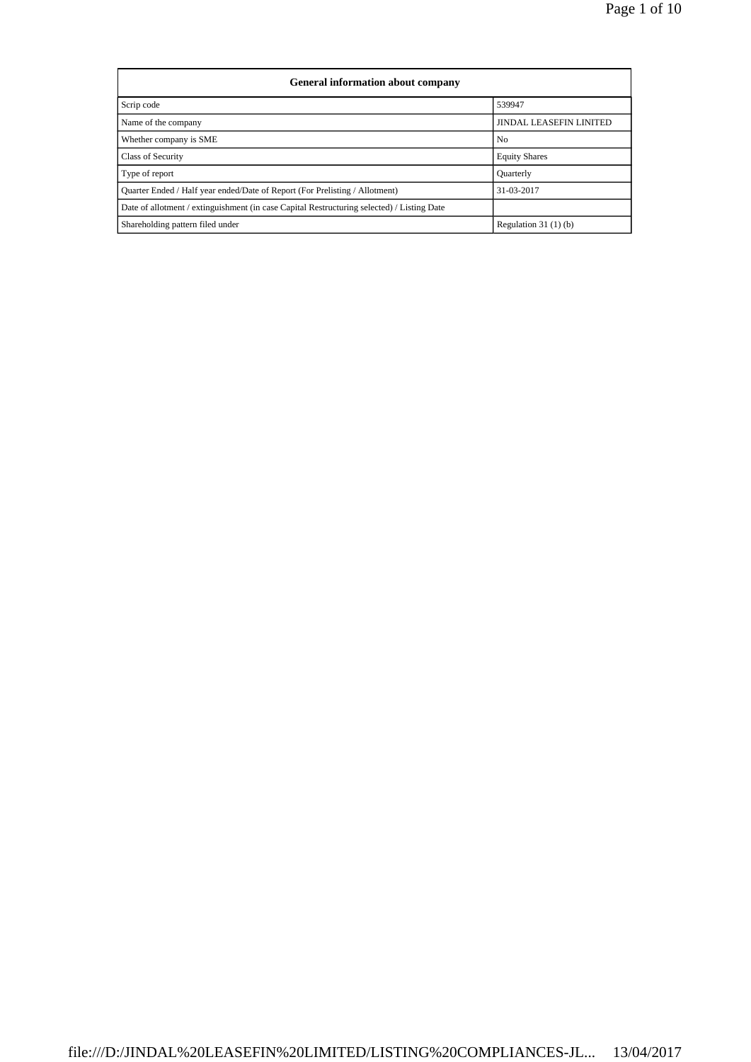| <b>General information about company</b>                                                   |                                |  |  |  |  |  |  |
|--------------------------------------------------------------------------------------------|--------------------------------|--|--|--|--|--|--|
| Scrip code                                                                                 | 539947                         |  |  |  |  |  |  |
| Name of the company                                                                        | <b>JINDAL LEASEFIN LINITED</b> |  |  |  |  |  |  |
| Whether company is SME                                                                     | No                             |  |  |  |  |  |  |
| <b>Class of Security</b>                                                                   | <b>Equity Shares</b>           |  |  |  |  |  |  |
| Type of report                                                                             | Quarterly                      |  |  |  |  |  |  |
| Quarter Ended / Half year ended/Date of Report (For Prelisting / Allotment)                | 31-03-2017                     |  |  |  |  |  |  |
| Date of allotment / extinguishment (in case Capital Restructuring selected) / Listing Date |                                |  |  |  |  |  |  |
| Shareholding pattern filed under                                                           | Regulation $31(1)(b)$          |  |  |  |  |  |  |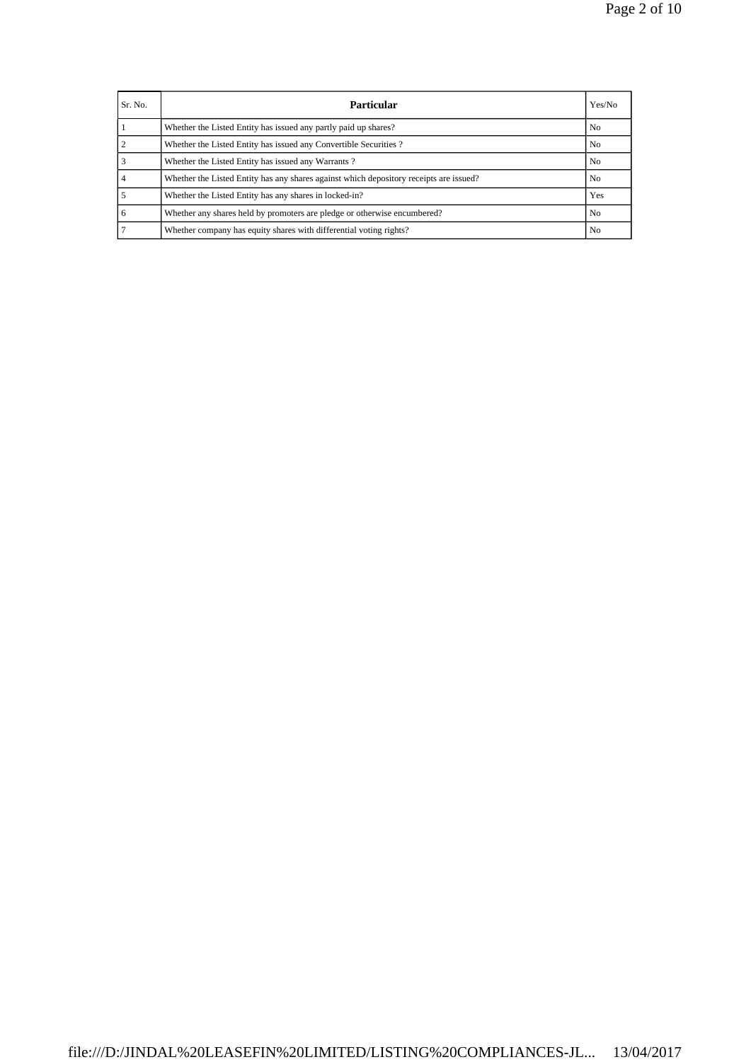| Sr. No. | <b>Particular</b>                                                                      | Yes/No         |
|---------|----------------------------------------------------------------------------------------|----------------|
|         | Whether the Listed Entity has issued any partly paid up shares?                        | N <sub>0</sub> |
|         | Whether the Listed Entity has issued any Convertible Securities?                       | N <sub>0</sub> |
|         | Whether the Listed Entity has issued any Warrants?                                     | N <sub>0</sub> |
|         | Whether the Listed Entity has any shares against which depository receipts are issued? | N <sub>0</sub> |
|         | Whether the Listed Entity has any shares in locked-in?                                 | Yes            |
|         | Whether any shares held by promoters are pledge or otherwise encumbered?               | N <sub>0</sub> |
|         | Whether company has equity shares with differential voting rights?                     | No.            |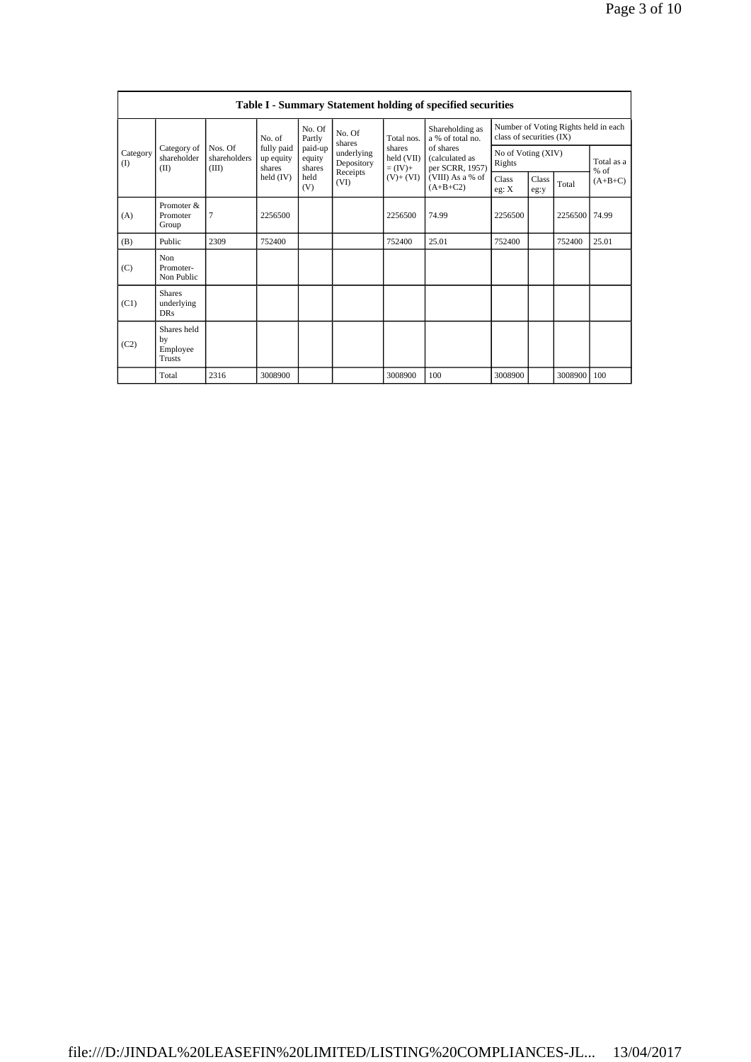| <b>Table I - Summary Statement holding of specified securities</b> |                                           |                                  |                                   |                             |                          |                                                              |                                                                                                                         |                                                                  |               |                      |           |
|--------------------------------------------------------------------|-------------------------------------------|----------------------------------|-----------------------------------|-----------------------------|--------------------------|--------------------------------------------------------------|-------------------------------------------------------------------------------------------------------------------------|------------------------------------------------------------------|---------------|----------------------|-----------|
| Category<br>$($ I                                                  |                                           |                                  | No. of                            | No. Of<br>Partly            | No. Of<br>shares         | Total nos.<br>shares<br>held (VII)<br>$=(IV)+$<br>$(V)+(VI)$ | Shareholding as<br>a % of total no.<br>of shares<br>(calculated as<br>per SCRR, 1957)<br>(VIII) As a % of<br>$(A+B+C2)$ | Number of Voting Rights held in each<br>class of securities (IX) |               |                      |           |
|                                                                    | Category of<br>shareholder<br>(II)        | Nos. Of<br>shareholders<br>(III) | fully paid<br>up equity<br>shares | paid-up<br>equity<br>shares | underlying<br>Depository |                                                              |                                                                                                                         | No of Voting (XIV)<br>Rights                                     |               | Total as a<br>$%$ of |           |
|                                                                    |                                           |                                  | held $(IV)$                       | held<br>(V)                 | Receipts<br>(VI)         |                                                              |                                                                                                                         | Class<br>eg: X                                                   | Class<br>eg:y | Total                | $(A+B+C)$ |
| (A)                                                                | Promoter &<br>Promoter<br>Group           | 7                                | 2256500                           |                             |                          | 2256500                                                      | 74.99                                                                                                                   | 2256500                                                          |               | 2256500              | 74.99     |
| (B)                                                                | Public                                    | 2309                             | 752400                            |                             |                          | 752400                                                       | 25.01                                                                                                                   | 752400                                                           |               | 752400               | 25.01     |
| (C)                                                                | Non<br>Promoter-<br>Non Public            |                                  |                                   |                             |                          |                                                              |                                                                                                                         |                                                                  |               |                      |           |
| (C1)                                                               | <b>Shares</b><br>underlying<br><b>DRs</b> |                                  |                                   |                             |                          |                                                              |                                                                                                                         |                                                                  |               |                      |           |
| (C2)                                                               | Shares held<br>by<br>Employee<br>Trusts   |                                  |                                   |                             |                          |                                                              |                                                                                                                         |                                                                  |               |                      |           |
|                                                                    | Total                                     | 2316                             | 3008900                           |                             |                          | 3008900                                                      | 100                                                                                                                     | 3008900                                                          |               | 3008900              | 100       |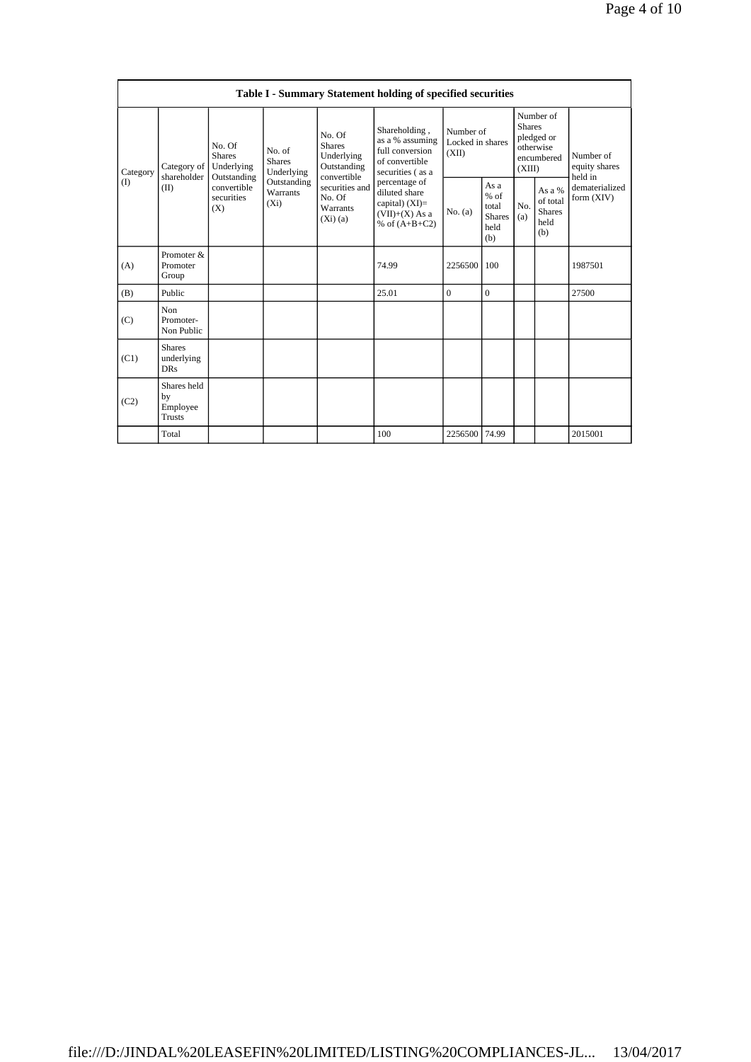| <b>Table I - Summary Statement holding of specified securities</b> |                                                |                                                                                                               |                             |                                                                                                                           |                                                                                                                                                                                         |                                        |                                                         |                                                                               |                                                    |                                       |  |
|--------------------------------------------------------------------|------------------------------------------------|---------------------------------------------------------------------------------------------------------------|-----------------------------|---------------------------------------------------------------------------------------------------------------------------|-----------------------------------------------------------------------------------------------------------------------------------------------------------------------------------------|----------------------------------------|---------------------------------------------------------|-------------------------------------------------------------------------------|----------------------------------------------------|---------------------------------------|--|
| Category<br>(1)                                                    | Category of<br>shareholder<br>(II)             | No. Of<br>No. of<br><b>Shares</b><br>Underlying<br>Outstanding<br>convertible<br>securities<br>$(X_i)$<br>(X) | <b>Shares</b><br>Underlying | No. Of<br><b>Shares</b><br>Underlying<br>Outstanding<br>convertible<br>securities and<br>No. Of<br>Warrants<br>$(X_i)(a)$ | Shareholding,<br>as a % assuming<br>full conversion<br>of convertible<br>securities (as a<br>percentage of<br>diluted share<br>capital) $(XI)$ =<br>$(VII)+(X)$ As a<br>% of $(A+B+C2)$ | Number of<br>Locked in shares<br>(XII) |                                                         | Number of<br><b>Shares</b><br>pledged or<br>otherwise<br>encumbered<br>(XIII) |                                                    | Number of<br>equity shares<br>held in |  |
|                                                                    |                                                |                                                                                                               | Outstanding<br>Warrants     |                                                                                                                           |                                                                                                                                                                                         | No. (a)                                | As a<br>$%$ of<br>total<br><b>Shares</b><br>held<br>(b) | No.<br>(a)                                                                    | As a %<br>of total<br><b>Shares</b><br>held<br>(b) | dematerialized<br>form (XIV)          |  |
| (A)                                                                | Promoter &<br>Promoter<br>Group                |                                                                                                               |                             |                                                                                                                           | 74.99                                                                                                                                                                                   | 2256500                                | 100                                                     |                                                                               |                                                    | 1987501                               |  |
| (B)                                                                | Public                                         |                                                                                                               |                             |                                                                                                                           | 25.01                                                                                                                                                                                   | 0                                      | $\mathbf{0}$                                            |                                                                               |                                                    | 27500                                 |  |
| (C)                                                                | Non<br>Promoter-<br>Non Public                 |                                                                                                               |                             |                                                                                                                           |                                                                                                                                                                                         |                                        |                                                         |                                                                               |                                                    |                                       |  |
| (C1)                                                               | <b>Shares</b><br>underlying<br><b>DRs</b>      |                                                                                                               |                             |                                                                                                                           |                                                                                                                                                                                         |                                        |                                                         |                                                                               |                                                    |                                       |  |
| (C2)                                                               | Shares held<br>by<br>Employee<br><b>Trusts</b> |                                                                                                               |                             |                                                                                                                           |                                                                                                                                                                                         |                                        |                                                         |                                                                               |                                                    |                                       |  |
|                                                                    | Total                                          |                                                                                                               |                             |                                                                                                                           | 100                                                                                                                                                                                     | 2256500                                | 74.99                                                   |                                                                               |                                                    | 2015001                               |  |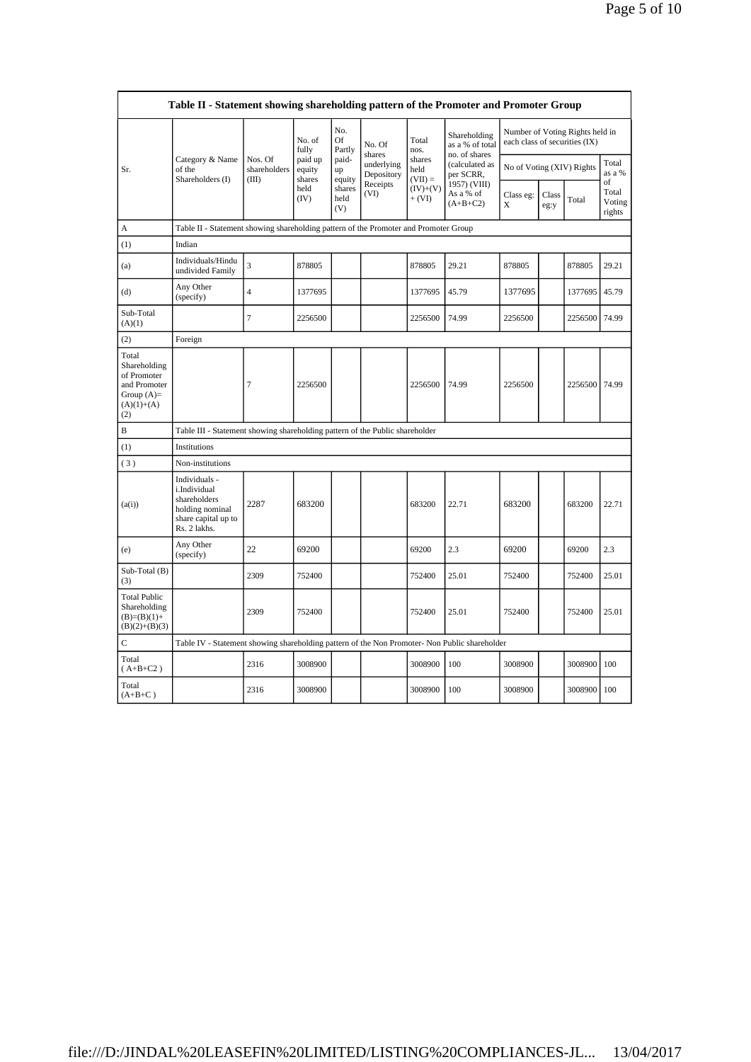| Table II - Statement showing shareholding pattern of the Promoter and Promoter Group        |                                                                                                         |                         |                        |                                 |                                    |                                     |                                                                                 |                                                                  |               |         |                                 |
|---------------------------------------------------------------------------------------------|---------------------------------------------------------------------------------------------------------|-------------------------|------------------------|---------------------------------|------------------------------------|-------------------------------------|---------------------------------------------------------------------------------|------------------------------------------------------------------|---------------|---------|---------------------------------|
|                                                                                             |                                                                                                         |                         | No. of<br>fully        | No.<br>Of<br>Partly             | No. Of                             | Total<br>nos.<br>shares<br>held     | Shareholding<br>as a % of total<br>no. of shares<br>(calculated as<br>per SCRR, | Number of Voting Rights held in<br>each class of securities (IX) |               |         |                                 |
| Sr.                                                                                         | Category & Name<br>of the                                                                               | Nos. Of<br>shareholders | paid up<br>equity      | paid-<br>up                     | shares<br>underlying<br>Depository |                                     |                                                                                 | No of Voting (XIV) Rights                                        |               |         | Total<br>as a %                 |
|                                                                                             | Shareholders (I)                                                                                        | (III)                   | shares<br>held<br>(IV) | equity<br>shares<br>held<br>(V) | Receipts<br>(VI)                   | $(VII) =$<br>$(IV)+(V)$<br>$+ (VI)$ | 1957) (VIII)<br>As a % of<br>$(A+B+C2)$                                         | Class eg:<br>X                                                   | Class<br>eg:y | Total   | of<br>Total<br>Voting<br>rights |
| А                                                                                           | Table II - Statement showing shareholding pattern of the Promoter and Promoter Group                    |                         |                        |                                 |                                    |                                     |                                                                                 |                                                                  |               |         |                                 |
| (1)                                                                                         | Indian                                                                                                  |                         |                        |                                 |                                    |                                     |                                                                                 |                                                                  |               |         |                                 |
| (a)                                                                                         | Individuals/Hindu<br>undivided Family                                                                   | $\overline{\mathbf{3}}$ | 878805                 |                                 |                                    | 878805                              | 29.21                                                                           | 878805                                                           |               | 878805  | 29.21                           |
| (d)                                                                                         | Any Other<br>(specify)                                                                                  | $\overline{4}$          | 1377695                |                                 |                                    | 1377695                             | 45.79                                                                           | 1377695                                                          |               | 1377695 | 45.79                           |
| Sub-Total<br>(A)(1)                                                                         |                                                                                                         | 7                       | 2256500                |                                 |                                    | 2256500                             | 74.99                                                                           | 2256500                                                          |               | 2256500 | 74.99                           |
| (2)                                                                                         | Foreign                                                                                                 |                         |                        |                                 |                                    |                                     |                                                                                 |                                                                  |               |         |                                 |
| Total<br>Shareholding<br>of Promoter<br>and Promoter<br>Group $(A)=$<br>$(A)(1)+(A)$<br>(2) |                                                                                                         | 7                       | 2256500                |                                 |                                    | 2256500                             | 74.99                                                                           | 2256500                                                          |               | 2256500 | 74.99                           |
| В                                                                                           | Table III - Statement showing shareholding pattern of the Public shareholder                            |                         |                        |                                 |                                    |                                     |                                                                                 |                                                                  |               |         |                                 |
| (1)                                                                                         | Institutions                                                                                            |                         |                        |                                 |                                    |                                     |                                                                                 |                                                                  |               |         |                                 |
| (3)                                                                                         | Non-institutions                                                                                        |                         |                        |                                 |                                    |                                     |                                                                                 |                                                                  |               |         |                                 |
| (a(i))                                                                                      | Individuals -<br>i.Individual<br>shareholders<br>holding nominal<br>share capital up to<br>Rs. 2 lakhs. | 2287                    | 683200                 |                                 |                                    | 683200                              | 22.71                                                                           | 683200                                                           |               | 683200  | 22.71                           |
| (e)                                                                                         | Any Other<br>(specify)                                                                                  | 22                      | 69200                  |                                 |                                    | 69200                               | 2.3                                                                             | 69200                                                            |               | 69200   | 2.3                             |
| Sub-Total (B)<br>(3)                                                                        |                                                                                                         | 2309                    | 752400                 |                                 |                                    | 752400                              | 25.01                                                                           | 752400                                                           |               | 752400  | 25.01                           |
| <b>Total Public</b><br>Shareholding<br>$(B)=(B)(1)+$<br>$(B)(2)+(B)(3)$                     |                                                                                                         | 2309                    | 752400                 |                                 |                                    | 752400                              | 25.01                                                                           | 752400                                                           |               | 752400  | 25.01                           |
| $\mathsf C$                                                                                 | Table IV - Statement showing shareholding pattern of the Non Promoter- Non Public shareholder           |                         |                        |                                 |                                    |                                     |                                                                                 |                                                                  |               |         |                                 |
| Total<br>$(A+B+C2)$                                                                         |                                                                                                         | 2316                    | 3008900                |                                 |                                    | 3008900                             | 100                                                                             | 3008900                                                          |               | 3008900 | 100                             |
| Total<br>$(A+B+C)$                                                                          |                                                                                                         | 2316                    | 3008900                |                                 |                                    | 3008900                             | 100                                                                             | 3008900                                                          |               | 3008900 | 100                             |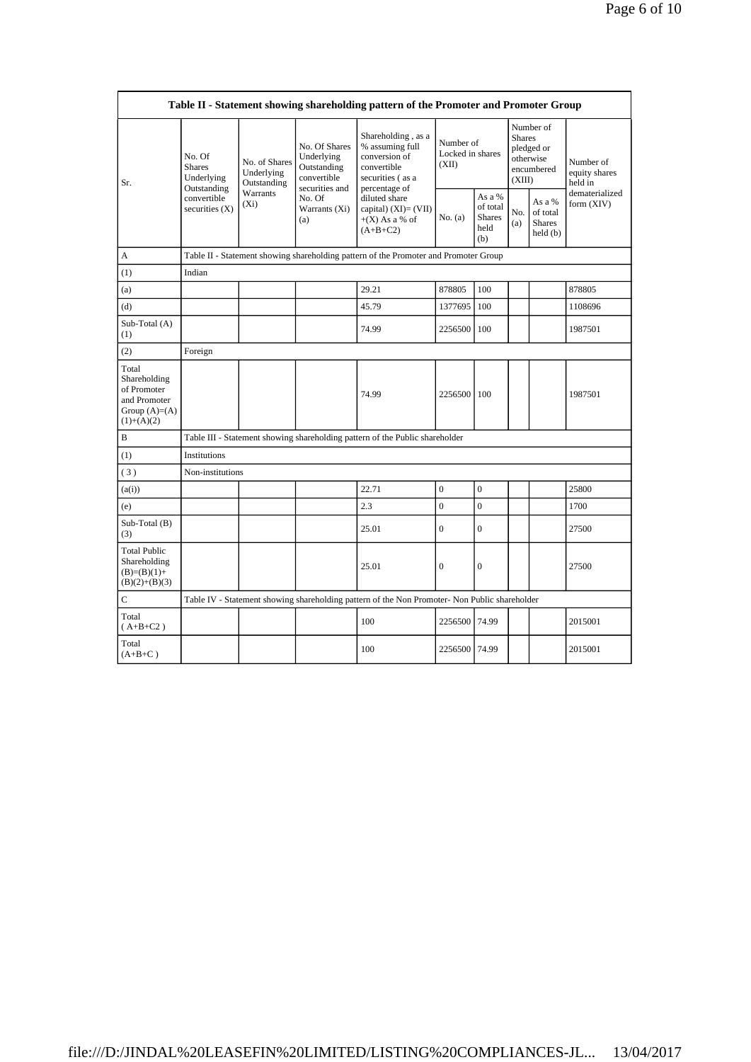| Table II - Statement showing shareholding pattern of the Promoter and Promoter Group    |                                              |                                            |                                                                                                               |                                                                                                                                                                                        |                                        |                                                    |                                                                               |                                                |                                       |  |  |
|-----------------------------------------------------------------------------------------|----------------------------------------------|--------------------------------------------|---------------------------------------------------------------------------------------------------------------|----------------------------------------------------------------------------------------------------------------------------------------------------------------------------------------|----------------------------------------|----------------------------------------------------|-------------------------------------------------------------------------------|------------------------------------------------|---------------------------------------|--|--|
| Sr.                                                                                     | No. Of<br><b>Shares</b><br>Underlying        | No. of Shares<br>Underlying<br>Outstanding | No. Of Shares<br>Underlying<br>Outstanding<br>convertible<br>securities and<br>No. Of<br>Warrants (Xi)<br>(a) | Shareholding, as a<br>% assuming full<br>conversion of<br>convertible<br>securities (as a<br>percentage of<br>diluted share<br>capital) $(XI)=(VII)$<br>$+(X)$ As a % of<br>$(A+B+C2)$ | Number of<br>Locked in shares<br>(XII) |                                                    | Number of<br><b>Shares</b><br>pledged or<br>otherwise<br>encumbered<br>(XIII) |                                                | Number of<br>equity shares<br>held in |  |  |
|                                                                                         | Outstanding<br>convertible<br>securities (X) | Warrants<br>$(X_i)$                        |                                                                                                               |                                                                                                                                                                                        | No. (a)                                | As a %<br>of total<br><b>Shares</b><br>held<br>(b) | No.<br>(a)                                                                    | As a %<br>of total<br><b>Shares</b><br>held(b) | dematerialized<br>form (XIV)          |  |  |
| A                                                                                       |                                              |                                            |                                                                                                               | Table II - Statement showing shareholding pattern of the Promoter and Promoter Group                                                                                                   |                                        |                                                    |                                                                               |                                                |                                       |  |  |
| (1)                                                                                     | Indian                                       |                                            |                                                                                                               |                                                                                                                                                                                        |                                        |                                                    |                                                                               |                                                |                                       |  |  |
| (a)                                                                                     |                                              |                                            |                                                                                                               | 29.21                                                                                                                                                                                  | 878805                                 | 100                                                |                                                                               |                                                | 878805                                |  |  |
| (d)                                                                                     |                                              |                                            |                                                                                                               | 45.79                                                                                                                                                                                  | 1377695                                | 100                                                |                                                                               |                                                | 1108696                               |  |  |
| Sub-Total (A)<br>(1)                                                                    |                                              |                                            |                                                                                                               | 74.99                                                                                                                                                                                  | 2256500                                | 100                                                |                                                                               |                                                | 1987501                               |  |  |
| (2)                                                                                     | Foreign                                      |                                            |                                                                                                               |                                                                                                                                                                                        |                                        |                                                    |                                                                               |                                                |                                       |  |  |
| Total<br>Shareholding<br>of Promoter<br>and Promoter<br>Group $(A)=(A)$<br>$(1)+(A)(2)$ |                                              |                                            |                                                                                                               | 74.99                                                                                                                                                                                  | 2256500                                | 100                                                |                                                                               |                                                | 1987501                               |  |  |
| B                                                                                       |                                              |                                            |                                                                                                               | Table III - Statement showing shareholding pattern of the Public shareholder                                                                                                           |                                        |                                                    |                                                                               |                                                |                                       |  |  |
| (1)                                                                                     | Institutions                                 |                                            |                                                                                                               |                                                                                                                                                                                        |                                        |                                                    |                                                                               |                                                |                                       |  |  |
| (3)                                                                                     | Non-institutions                             |                                            |                                                                                                               |                                                                                                                                                                                        |                                        |                                                    |                                                                               |                                                |                                       |  |  |
| (a(i))                                                                                  |                                              |                                            |                                                                                                               | 22.71                                                                                                                                                                                  | $\boldsymbol{0}$                       | $\boldsymbol{0}$                                   |                                                                               |                                                | 25800                                 |  |  |
| (e)                                                                                     |                                              |                                            |                                                                                                               | 2.3                                                                                                                                                                                    | $\overline{0}$                         | $\overline{0}$                                     |                                                                               |                                                | 1700                                  |  |  |
| Sub-Total (B)<br>(3)                                                                    |                                              |                                            |                                                                                                               | 25.01                                                                                                                                                                                  | $\theta$                               | $\overline{0}$                                     |                                                                               |                                                | 27500                                 |  |  |
| <b>Total Public</b><br>Shareholding<br>$(B)=(B)(1)+$<br>$(B)(2)+(B)(3)$                 |                                              |                                            |                                                                                                               | 25.01                                                                                                                                                                                  | $\mathbf{0}$                           | $\mathbf{0}$                                       |                                                                               |                                                | 27500                                 |  |  |
| $\mathbf C$                                                                             |                                              |                                            |                                                                                                               | Table IV - Statement showing shareholding pattern of the Non Promoter- Non Public shareholder                                                                                          |                                        |                                                    |                                                                               |                                                |                                       |  |  |
| Total<br>$(A+B+C2)$                                                                     |                                              |                                            |                                                                                                               | 100                                                                                                                                                                                    | 2256500                                | 74.99                                              |                                                                               |                                                | 2015001                               |  |  |
| Total<br>$(A+B+C)$                                                                      |                                              |                                            |                                                                                                               | 100                                                                                                                                                                                    | 2256500                                | 74.99                                              |                                                                               |                                                | 2015001                               |  |  |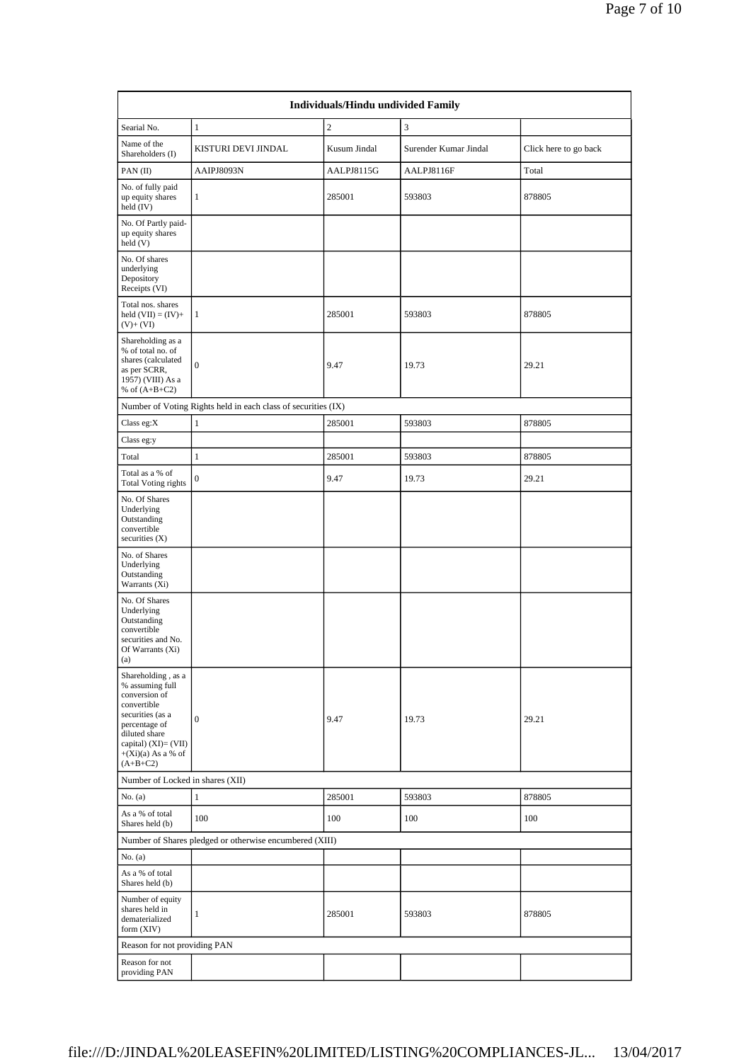| <b>Individuals/Hindu undivided Family</b>                                                                                                                                                 |                                                               |                |                       |                       |  |  |  |  |  |
|-------------------------------------------------------------------------------------------------------------------------------------------------------------------------------------------|---------------------------------------------------------------|----------------|-----------------------|-----------------------|--|--|--|--|--|
| Searial No.                                                                                                                                                                               | $\mathbf{1}$                                                  | $\overline{c}$ | 3                     |                       |  |  |  |  |  |
| Name of the<br>Shareholders (I)                                                                                                                                                           | KISTURI DEVI JINDAL                                           | Kusum Jindal   | Surender Kumar Jindal | Click here to go back |  |  |  |  |  |
| PAN(II)                                                                                                                                                                                   | AAIPJ8093N                                                    | AALPJ8115G     | AALPJ8116F            | Total                 |  |  |  |  |  |
| No. of fully paid<br>up equity shares<br>held (IV)                                                                                                                                        | $\mathbf{1}$                                                  | 285001         | 593803                | 878805                |  |  |  |  |  |
| No. Of Partly paid-<br>up equity shares<br>held (V)                                                                                                                                       |                                                               |                |                       |                       |  |  |  |  |  |
| No. Of shares<br>underlying<br>Depository<br>Receipts (VI)                                                                                                                                |                                                               |                |                       |                       |  |  |  |  |  |
| Total nos. shares<br>held $(VII) = (IV) +$<br>$(V)+(VI)$                                                                                                                                  | $\mathbf{1}$                                                  | 285001         | 593803                | 878805                |  |  |  |  |  |
| Shareholding as a<br>% of total no. of<br>shares (calculated<br>as per SCRR,<br>1957) (VIII) As a<br>% of $(A+B+C2)$                                                                      | $\overline{0}$                                                | 9.47           | 19.73                 | 29.21                 |  |  |  |  |  |
|                                                                                                                                                                                           | Number of Voting Rights held in each class of securities (IX) |                |                       |                       |  |  |  |  |  |
| Class eg:X                                                                                                                                                                                | $\mathbf{1}$                                                  | 285001         | 593803                | 878805                |  |  |  |  |  |
| Class eg:y                                                                                                                                                                                |                                                               |                |                       |                       |  |  |  |  |  |
| Total                                                                                                                                                                                     | $\mathbf{1}$                                                  | 285001         | 593803                | 878805                |  |  |  |  |  |
| Total as a % of<br><b>Total Voting rights</b>                                                                                                                                             | $\mathbf{0}$                                                  | 9.47           | 19.73                 | 29.21                 |  |  |  |  |  |
| No. Of Shares<br>Underlying<br>Outstanding<br>convertible<br>securities $(X)$                                                                                                             |                                                               |                |                       |                       |  |  |  |  |  |
| No. of Shares<br>Underlying<br>Outstanding<br>Warrants (Xi)                                                                                                                               |                                                               |                |                       |                       |  |  |  |  |  |
| No. Of Shares<br>Underlying<br>Outstanding<br>convertible<br>securities and No.<br>Of Warrants (Xi)<br>(a)                                                                                |                                                               |                |                       |                       |  |  |  |  |  |
| Shareholding, as a<br>% assuming full<br>conversion of<br>convertible<br>securities (as a<br>percentage of<br>diluted share<br>capital) (XI)= (VII)<br>$+(Xi)(a)$ As a % of<br>$(A+B+C2)$ | $\mathbf{0}$                                                  | 9.47           | 19.73                 | 29.21                 |  |  |  |  |  |
| Number of Locked in shares (XII)                                                                                                                                                          |                                                               |                |                       |                       |  |  |  |  |  |
| No. (a)                                                                                                                                                                                   | $\mathbf{1}$                                                  | 285001         | 593803                | 878805                |  |  |  |  |  |
| As a % of total<br>Shares held (b)                                                                                                                                                        | 100                                                           | 100            | 100                   | 100                   |  |  |  |  |  |
|                                                                                                                                                                                           | Number of Shares pledged or otherwise encumbered (XIII)       |                |                       |                       |  |  |  |  |  |
| No. (a)                                                                                                                                                                                   |                                                               |                |                       |                       |  |  |  |  |  |
| As a % of total<br>Shares held (b)                                                                                                                                                        |                                                               |                |                       |                       |  |  |  |  |  |
| Number of equity<br>shares held in<br>dematerialized<br>form (XIV)                                                                                                                        | $\mathbf{1}$                                                  | 285001         | 593803                | 878805                |  |  |  |  |  |
| Reason for not providing PAN                                                                                                                                                              |                                                               |                |                       |                       |  |  |  |  |  |
| Reason for not<br>providing PAN                                                                                                                                                           |                                                               |                |                       |                       |  |  |  |  |  |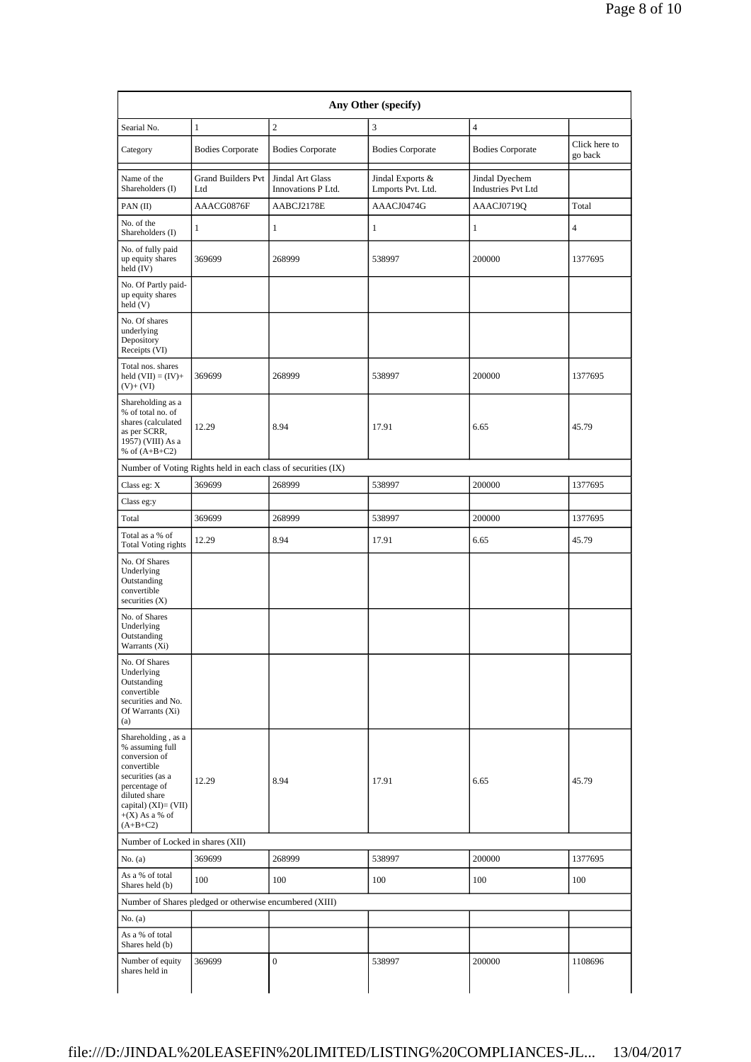| Searial No.                                                                                                                                                                              | $\mathbf{1}$                                            | $\overline{c}$                                                | 3                                     | $\overline{4}$                              |                          |
|------------------------------------------------------------------------------------------------------------------------------------------------------------------------------------------|---------------------------------------------------------|---------------------------------------------------------------|---------------------------------------|---------------------------------------------|--------------------------|
| Category                                                                                                                                                                                 | <b>Bodies Corporate</b>                                 | <b>Bodies Corporate</b>                                       | <b>Bodies Corporate</b>               | <b>Bodies Corporate</b>                     | Click here to<br>go back |
| Name of the<br>Shareholders (I)                                                                                                                                                          | <b>Grand Builders Pvt</b><br>Ltd                        | <b>Jindal Art Glass</b><br>Innovations P Ltd.                 | Jindal Exports &<br>Lmports Pvt. Ltd. | Jindal Dyechem<br><b>Industries Pvt Ltd</b> |                          |
| $PAN$ (II)                                                                                                                                                                               | AAACG0876F                                              | AABCJ2178E                                                    | AAACJ0474G                            | AAACJ0719Q                                  | Total                    |
| No. of the<br>Shareholders (I)                                                                                                                                                           | 1                                                       | $\mathbf{1}$                                                  | $\mathbf{1}$                          | $\mathbf{1}$                                | $\overline{4}$           |
| No. of fully paid<br>up equity shares<br>held (IV)                                                                                                                                       | 369699                                                  | 268999                                                        | 538997                                | 200000                                      | 1377695                  |
| No. Of Partly paid-<br>up equity shares<br>held(V)                                                                                                                                       |                                                         |                                                               |                                       |                                             |                          |
| No. Of shares<br>underlying<br>Depository<br>Receipts (VI)                                                                                                                               |                                                         |                                                               |                                       |                                             |                          |
| Total nos. shares<br>held $(VII) = (IV) +$<br>$(V)+(VI)$                                                                                                                                 | 369699                                                  | 268999                                                        | 538997                                | 200000                                      | 1377695                  |
| Shareholding as a<br>% of total no. of<br>shares (calculated<br>as per SCRR,<br>1957) (VIII) As a<br>% of $(A+B+C2)$                                                                     | 12.29                                                   | 8.94                                                          | 17.91                                 | 6.65                                        | 45.79                    |
|                                                                                                                                                                                          |                                                         | Number of Voting Rights held in each class of securities (IX) |                                       |                                             |                          |
| Class eg: X                                                                                                                                                                              | 369699                                                  | 268999                                                        | 538997                                | 200000                                      | 1377695                  |
| Class eg:y                                                                                                                                                                               |                                                         |                                                               |                                       |                                             |                          |
| Total                                                                                                                                                                                    | 369699                                                  | 268999                                                        | 538997                                | 200000                                      | 1377695                  |
| Total as a % of<br><b>Total Voting rights</b>                                                                                                                                            | 12.29                                                   | 8.94                                                          | 17.91                                 | 6.65                                        | 45.79                    |
| No. Of Shares<br>Underlying<br>Outstanding<br>convertible<br>securities $(X)$                                                                                                            |                                                         |                                                               |                                       |                                             |                          |
| No. of Shares<br>Underlying<br>Outstanding<br>Warrants (Xi)                                                                                                                              |                                                         |                                                               |                                       |                                             |                          |
| No. Of Shares<br>Underlying<br>Outstanding<br>convertible<br>securities and No.<br>Of Warrants (Xi)<br>(a)                                                                               |                                                         |                                                               |                                       |                                             |                          |
| Shareholding, as a<br>% assuming full<br>conversion of<br>convertible<br>securities (as a<br>percentage of<br>diluted share<br>capital) $(XI) = (VII)$<br>$+(X)$ As a % of<br>$(A+B+C2)$ | 12.29                                                   | 8.94                                                          | 17.91                                 | 6.65                                        | 45.79                    |
| Number of Locked in shares (XII)                                                                                                                                                         |                                                         |                                                               |                                       |                                             |                          |
| No. (a)                                                                                                                                                                                  | 369699                                                  | 268999                                                        | 538997                                | 200000                                      | 1377695                  |
| As a % of total<br>Shares held (b)                                                                                                                                                       | 100                                                     | 100                                                           | 100                                   | 100                                         | 100                      |
|                                                                                                                                                                                          | Number of Shares pledged or otherwise encumbered (XIII) |                                                               |                                       |                                             |                          |
| No. (a)                                                                                                                                                                                  |                                                         |                                                               |                                       |                                             |                          |
| As a % of total<br>Shares held (b)                                                                                                                                                       |                                                         |                                                               |                                       |                                             |                          |
| Number of equity<br>shares held in                                                                                                                                                       | 369699                                                  | $\overline{0}$                                                | 538997                                | 200000                                      | 1108696                  |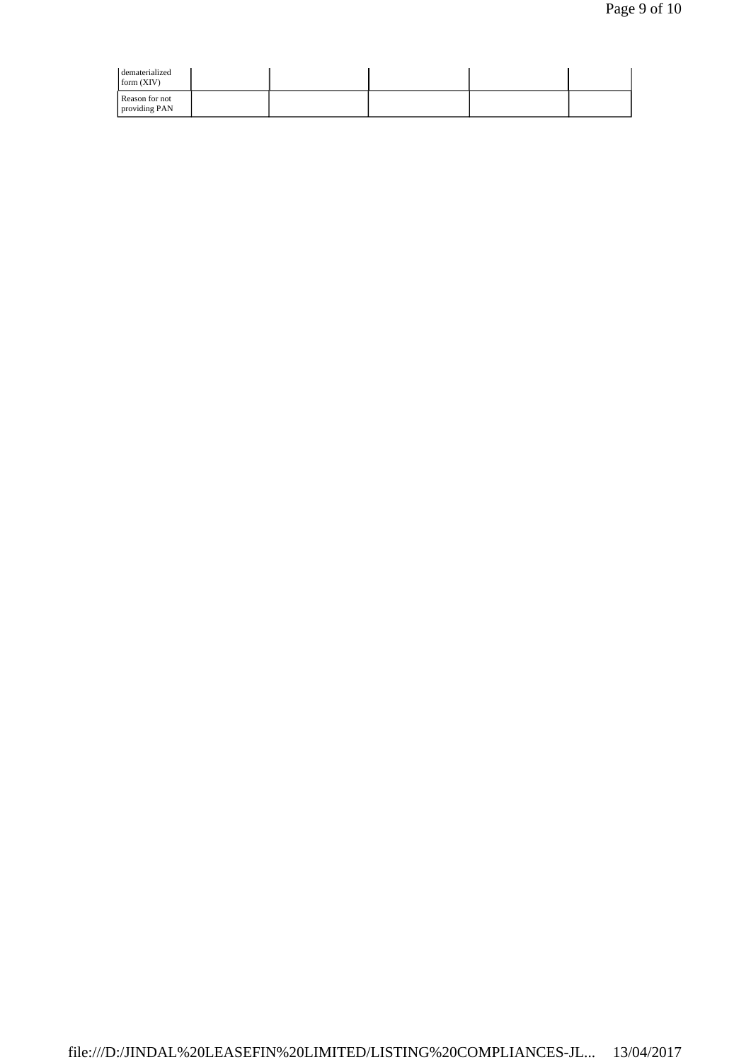| dematerialized<br>form $(XIV)$  |  |  |  |
|---------------------------------|--|--|--|
| Reason for not<br>providing PAN |  |  |  |